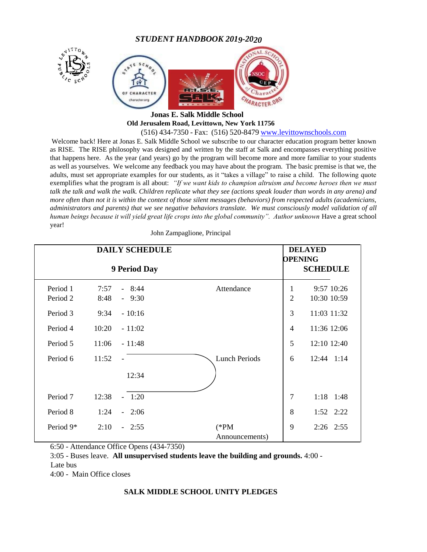*STUDENT HANDBOOK 2019-2020*



#### **Jonas E. Salk Middle School Old Jerusalem Road, Levittown, New York 11756**  (516) 434-7350 - Fax: (516) 520-8479 [www.levittownschools.com](http://www.levittownschools.com/)

Welcome back! Here at Jonas E. Salk Middle School we subscribe to our character education program better known as RISE. The RISE philosophy was designed and written by the staff at Salk and encompasses everything positive that happens here. As the year (and years) go by the program will become more and more familiar to your students as well as yourselves. We welcome any feedback you may have about the program. The basic premise is that we, the adults, must set appropriate examples for our students, as it "takes a village" to raise a child. The following quote exemplifies what the program is all about: *"If we want kids to champion altruism and become heroes then we must talk the talk and walk the walk. Children replicate what they see (actions speak louder than words in any arena) and more often than not it is within the context of those silent messages (behaviors) from respected adults (academicians, administrators and parents) that we see negative behaviors translate. We must consciously model validation of all human beings because it will yield great life crops into the global community". Author unknown* Have a great school year!

| <b>DAILY SCHEDULE</b><br>9 Period Day |       |                |                           |                | <b>DELAYED</b><br><b>OPENING</b><br><b>SCHEDULE</b> |  |
|---------------------------------------|-------|----------------|---------------------------|----------------|-----------------------------------------------------|--|
|                                       |       |                |                           |                |                                                     |  |
| Period 2                              | 8:48  | $-9:30$        |                           | $\overline{2}$ | 10:30 10:59                                         |  |
| Period 3                              | 9:34  | $-10:16$       |                           | 3              | 11:03 11:32                                         |  |
| Period 4                              | 10:20 | $-11:02$       |                           | $\overline{4}$ | 11:36 12:06                                         |  |
| Period 5                              | 11:06 | $-11:48$       |                           | 5              | 12:10 12:40                                         |  |
| Period 6                              | 11:52 | $\blacksquare$ | <b>Lunch Periods</b>      | 6              | $12:44$ $1:14$                                      |  |
|                                       |       | 12:34          |                           |                |                                                     |  |
| Period 7                              | 12:38 | $-1:20$        |                           | 7              | $1:18$ 1:48                                         |  |
| Period 8                              | 1:24  | $-2:06$        |                           | 8              | $1:52 \quad 2:22$                                   |  |
| Period 9*                             | 2:10  | $-2:55$        | $(*PM)$<br>Announcements) | 9              | $2:26$ $2:55$                                       |  |

John Zampaglione, Principal

6:50 - Attendance Office Opens (434-7350)

3:05 - Buses leave. **All unsupervised students leave the building and grounds.** 4:00 -

Late bus

4:00 - Main Office closes

#### **SALK MIDDLE SCHOOL UNITY PLEDGES**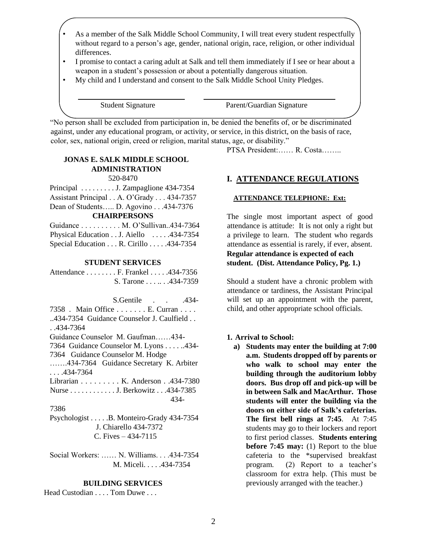- As a member of the Salk Middle School Community, I will treat every student respectfully without regard to a person's age, gender, national origin, race, religion, or other individual differences.
- I promise to contact a caring adult at Salk and tell them immediately if I see or hear about a weapon in a student's possession or about a potentially dangerous situation.
- My child and I understand and consent to the Salk Middle School Unity Pledges.

Student Signature Parent/Guardian Signature

"No person shall be excluded from participation in, be denied the benefits of, or be discriminated against, under any educational program, or activity, or service, in this district, on the basis of race, color, sex, national origin, creed or religion, marital status, age, or disability."

### **JONAS E. SALK MIDDLE SCHOOL ADMINISTRATION**  520-8470

| Principal $\ldots \ldots \ldots$ J. Zampaglione 434-7354                                                 |  |  |  |  |
|----------------------------------------------------------------------------------------------------------|--|--|--|--|
| Assistant Principal A. O'Grady 434-7357                                                                  |  |  |  |  |
| Dean of Students D. Agovino 434-7376                                                                     |  |  |  |  |
| <b>CHAIRPERSONS</b>                                                                                      |  |  |  |  |
| Guidance M. O'Sullivan434-7364                                                                           |  |  |  |  |
| $Dh$ $Ld$ $Ld$ $Lg$ $Lg$ $Lg$ $Lg$ $Lg$ $Lg$ $Lg$ $Lg$ $Lg$ $Lg$ $Lg$ $Lg$ $Lg$ $Lg$ $Lg$ $Lg$ $Lg$ $L<$ |  |  |  |  |

Physical Education . . J. Aiello . . . . . 434-7354 Special Education . . . R. Cirillo . . . . .434-7354

#### **STUDENT SERVICES**

| Attendance F. Frankel434-7356 |  |
|-------------------------------|--|
| S. Tarone 434-7359            |  |

S.Gentile . . . . 434-7358 . Main Office . . . . . . . E. Curran . . . . ..434-7354 Guidance Counselor J. Caulfield . . . .434-7364 Guidance Counselor M. Gaufman……434- 7364 Guidance Counselor M. Lyons . . . . ..434- 7364 Guidance Counselor M. Hodge …….434-7364 Guidance Secretary K. Arbiter  $\ldots$ . 434-7364 Librarian . . . . . . . . . K. Anderson . .434-7380 Nurse . . . . . . . . . . . . J. Berkowitz . . .434-7385 434- 7386 Psychologist . . . . .B. Monteiro-Grady 434-7354 J. Chiarello 434-7372 C. Fives – 434-7115

Social Workers: …… N. Williams. . . .434-7354 M. Miceli. . . . .434-7354

#### **BUILDING SERVICES**

Head Custodian . . . . Tom Duwe . . .

PTSA President:…… R. Costa……..

### **I. ATTENDANCE REGULATIONS**

#### **ATTENDANCE TELEPHONE: Ext:**

The single most important aspect of good attendance is attitude: It is not only a right but a privilege to learn. The student who regards attendance as essential is rarely, if ever, absent. **Regular attendance is expected of each student. (Dist. Attendance Policy, Pg. 1.)** 

Should a student have a chronic problem with attendance or tardiness, the Assistant Principal will set up an appointment with the parent, child, and other appropriate school officials.

### **1. Arrival to School:**

**a) Students may enter the building at 7:00 a.m. Students dropped off by parents or who walk to school may enter the building through the auditorium lobby doors. Bus drop off and pick-up will be in between Salk and MacArthur. Those students will enter the building via the doors on either side of Salk's cafeterias. The first bell rings at 7:45**. At 7:45 students may go to their lockers and report to first period classes. **Students entering before 7:45 may:** (1) Report to the blue cafeteria to the \*supervised breakfast program. (2) Report to a teacher's classroom for extra help. (This must be previously arranged with the teacher.)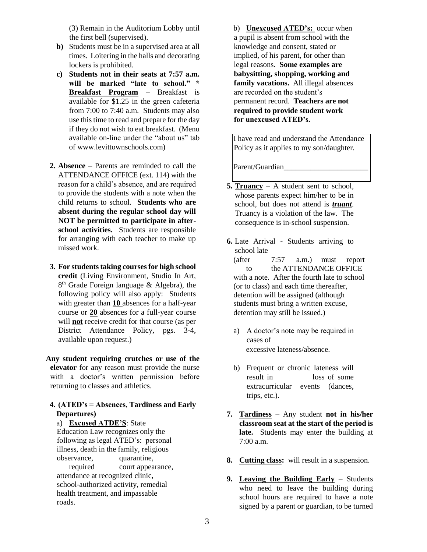(3) Remain in the Auditorium Lobby until the first bell (supervised).

- **b)** Students must be in a supervised area at all times.Loitering in the halls and decorating lockers is prohibited.
- **c) Students not in their seats at 7:57 a.m. will be marked "late to school." \* Breakfast Program** – Breakfast is available for \$1.25 in the green cafeteria from 7:00 to 7:40 a.m. Students may also use this time to read and prepare for the day if they do not wish to eat breakfast. (Menu available on-line under the "about us" tab of www.levittownschools.com)
- **2. Absence** Parents are reminded to call the ATTENDANCE OFFICE (ext. 114) with the reason for a child's absence, and are required to provide the students with a note when the child returns to school. **Students who are absent during the regular school day will NOT be permitted to participate in afterschool activities.** Students are responsible for arranging with each teacher to make up missed work.
- **3. For students taking courses for high school credit** (Living Environment, Studio In Art, 8<sup>th</sup> Grade Foreign language & Algebra), the following policy will also apply: Students with greater than **10** absences for a half-year course or **20** absences for a full-year course will **not** receive credit for that course (as per District Attendance Policy, pgs. 3-4, available upon request.)

**Any student requiring crutches or use of the elevator** for any reason must provide the nurse with a doctor's written permission before returning to classes and athletics.

### **4. (ATED's = Absences**, **Tardiness and Early Departures)**

a) **Excused ATDE'S**: State Education Law recognizes only the following as legal ATED's: personal illness, death in the family, religious observance, quarantine, required court appearance, attendance at recognized clinic, school-authorized activity, remedial health treatment, and impassable roads.

b) **Unexcused ATED's:** occur when a pupil is absent from school with the knowledge and consent, stated or implied, of his parent, for other than legal reasons. **Some examples are babysitting, shopping, working and family vacations.** All illegal absences are recorded on the student's permanent record. **Teachers are not required to provide student work for unexcused ATED's.** 

I have read and understand the Attendance Policy as it applies to my son/daughter.

Parent/Guardian

- **5. Truancy** A student sent to school, whose parents expect him/her to be in school, but does not attend is *truant*. Truancy is a violation of the law. The consequence is in-school suspension.
- **6.** Late Arrival Students arriving to school late

(after 7:57 a.m.) must report to the ATTENDANCE OFFICE with a note. After the fourth late to school (or to class) and each time thereafter, detention will be assigned (although students must bring a written excuse, detention may still be issued.)

- a) A doctor's note may be required in cases of excessive lateness/absence.
- b) Frequent or chronic lateness will result in loss of some extracurricular events (dances, trips, etc.).
- **7. Tardiness** Any student **not in his/her classroom seat at the start of the period is late.** Students may enter the building at 7:00 a.m.
- **8. Cutting class:** will result in a suspension.
- **9. Leaving the Building Early** Students who need to leave the building during school hours are required to have a note signed by a parent or guardian, to be turned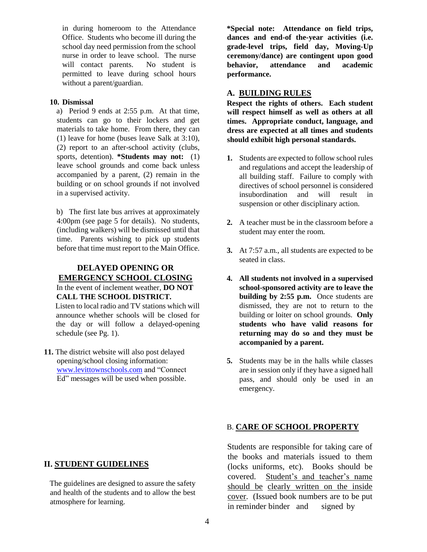in during homeroom to the Attendance Office. Students who become ill during the school day need permission from the school nurse in order to leave school. The nurse will contact parents. No student is permitted to leave during school hours without a parent/guardian.

### **10. Dismissal**

a) Period 9 ends at 2:55 p.m. At that time, students can go to their lockers and get materials to take home. From there, they can (1) leave for home (buses leave Salk at 3:10), (2) report to an after-school activity (clubs, sports, detention). **\*Students may not:** (1) leave school grounds and come back unless accompanied by a parent, (2) remain in the building or on school grounds if not involved in a supervised activity.

b) The first late bus arrives at approximately 4:00pm (see page 5 for details). No students, (including walkers) will be dismissed until that time. Parents wishing to pick up students before that time must report to the Main Office.

### **DELAYED OPENING OR EMERGENCY SCHOOL CLOSING** In the event of inclement weather, **DO NOT**

**CALL THE SCHOOL DISTRICT.** Listen to local radio and TV stations which will

announce whether schools will be closed for the day or will follow a delayed-opening schedule (see Pg. 1).

**11.** The district website will also post delayed opening/school closing information: [www.levittownschools.com](http://www.levittownschools.com/) and "Connect Ed" messages will be used when possible.

**\*Special note: Attendance on field trips, dances and end-of the-year activities (i.e. grade-level trips, field day, Moving-Up ceremony/dance) are contingent upon good behavior, attendance and academic performance.** 

# **A. BUILDING RULES**

**Respect the rights of others. Each student will respect himself as well as others at all times. Appropriate conduct, language, and dress are expected at all times and students should exhibit high personal standards.** 

- **1.** Students are expected to follow school rules and regulations and accept the leadership of all building staff. Failure to comply with directives of school personnel is considered insubordination and will result in suspension or other disciplinary action.
- **2.** A teacher must be in the classroom before a student may enter the room.
- **3.** At 7:57 a.m., all students are expected to be seated in class.
- **4. All students not involved in a supervised school-sponsored activity are to leave the building by 2:55 p.m.** Once students are dismissed, they are not to return to the building or loiter on school grounds. **Only students who have valid reasons for returning may do so and they must be accompanied by a parent.**
- **5.** Students may be in the halls while classes are in session only if they have a signed hall pass, and should only be used in an emergency.

# B. **CARE OF SCHOOL PROPERTY**

Students are responsible for taking care of the books and materials issued to them (locks uniforms, etc). Books should be covered. Student's and teacher's name should be clearly written on the inside cover. (Issued book numbers are to be put in reminder binder and signed by

# **II. STUDENT GUIDELINES**

The guidelines are designed to assure the safety and health of the students and to allow the best atmosphere for learning.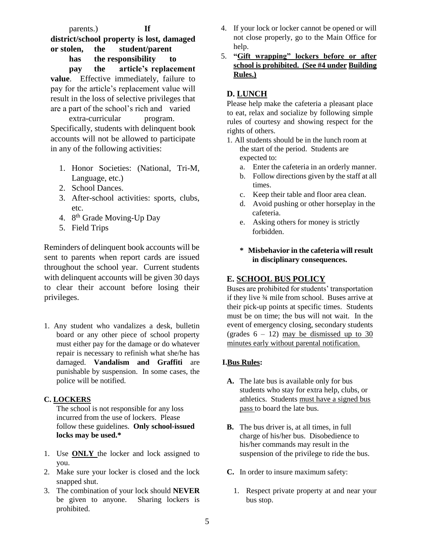parents.) **If district/school property is lost, damaged or stolen, the student/parent has the responsibility to pay the article's replacement value**. Effective immediately, failure to pay for the article's replacement value will result in the loss of selective privileges that are a part of the school's rich and varied extra-curricular program. Specifically, students with delinquent book accounts will not be allowed to participate in any of the following activities:

- 1. Honor Societies: (National, Tri-M, Language, etc.)
- 2. School Dances.
- 3. After-school activities: sports, clubs, etc.
- 4. 8<sup>th</sup> Grade Moving-Up Day
- 5. Field Trips

Reminders of delinquent book accounts will be sent to parents when report cards are issued throughout the school year. Current students with delinquent accounts will be given 30 days to clear their account before losing their privileges.

1. Any student who vandalizes a desk, bulletin board or any other piece of school property must either pay for the damage or do whatever repair is necessary to refinish what she/he has damaged. **Vandalism and Graffiti** are punishable by suspension. In some cases, the police will be notified.

# **C. LOCKERS**

The school is not responsible for any loss incurred from the use of lockers. Please follow these guidelines. **Only school-issued locks may be used.\*** 

- 1. Use **ONLY** the locker and lock assigned to you.
- 2. Make sure your locker is closed and the lock snapped shut.
- 3. The combination of your lock should **NEVER**  be given to anyone. Sharing lockers is prohibited.
- 4. If your lock or locker cannot be opened or will not close properly, go to the Main Office for help.
- 5. **"Gift wrapping" lockers before or after school is prohibited. (See #4 under Building Rules.)**

# **D. LUNCH**

Please help make the cafeteria a pleasant place to eat, relax and socialize by following simple rules of courtesy and showing respect for the rights of others.

- 1. All students should be in the lunch room at the start of the period. Students are expected to:
	- a. Enter the cafeteria in an orderly manner.
	- b. Follow directions given by the staff at all times.
	- c. Keep their table and floor area clean.
	- d. Avoid pushing or other horseplay in the cafeteria.
	- e. Asking others for money is strictly forbidden.
	- **\* Misbehavior in the cafeteria will result in disciplinary consequences.**

# **E. SCHOOL BUS POLICY**

Buses are prohibited for students' transportation if they live ¾ mile from school. Buses arrive at their pick-up points at specific times. Students must be on time; the bus will not wait. In the event of emergency closing, secondary students (grades  $6 - 12$ ) may be dismissed up to 30 minutes early without parental notification.

# **I.Bus Rules:**

- **A.** The late bus is available only for bus students who stay for extra help, clubs, or athletics. Students must have a signed bus pass to board the late bus.
- **B.** The bus driver is, at all times, in full charge of his/her bus. Disobedience to his/her commands may result in the suspension of the privilege to ride the bus.
- **C.** In order to insure maximum safety:
	- 1. Respect private property at and near your bus stop.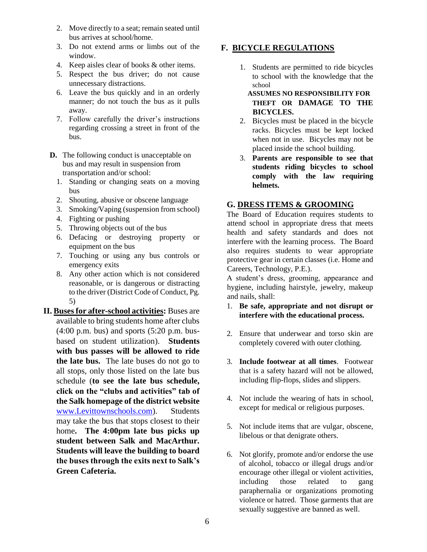- 2. Move directly to a seat; remain seated until bus arrives at school/home.
- 3. Do not extend arms or limbs out of the window.
- 4. Keep aisles clear of books & other items.
- 5. Respect the bus driver; do not cause unnecessary distractions.
- 6. Leave the bus quickly and in an orderly manner; do not touch the bus as it pulls away.
- 7. Follow carefully the driver's instructions regarding crossing a street in front of the bus.
- **D.** The following conduct is unacceptable on bus and may result in suspension from transportation and/or school:
	- 1. Standing or changing seats on a moving bus
	- 2. Shouting, abusive or obscene language
	- 3. Smoking/Vaping (suspension from school)
	- 4. Fighting or pushing
	- 5. Throwing objects out of the bus
	- 6. Defacing or destroying property or equipment on the bus
	- 7. Touching or using any bus controls or emergency exits
	- 8. Any other action which is not considered reasonable, or is dangerous or distracting to the driver (District Code of Conduct, Pg. 5)
- **II. Buses for after-school activities:** Buses are available to bring students home after clubs  $(4:00 \text{ p.m. bus})$  and sports  $(5:20 \text{ p.m. bus-}$ based on student utilization). **Students with bus passes will be allowed to ride the late bus.** The late buses do not go to all stops, only those listed on the late bus schedule (**to see the late bus schedule, click on the "clubs and activities" tab of the Salk homepage of the district website** [www.Levittownschools.com\).](http://www.levittownschools.com/) Students may take the bus that stops closest to their home**. The 4:00pm late bus picks up student between Salk and MacArthur. Students will leave the building to board the buses through the exits next to Salk's Green Cafeteria.**

# **F. BICYCLE REGULATIONS**

- 1. Students are permitted to ride bicycles to school with the knowledge that the school
	- **ASSUMES NO RESPONSIBILITY FOR THEFT OR DAMAGE TO THE BICYCLES.**
- 2. Bicycles must be placed in the bicycle racks. Bicycles must be kept locked when not in use. Bicycles may not be placed inside the school building.
- 3. **Parents are responsible to see that students riding bicycles to school comply with the law requiring helmets.**

# **G. DRESS ITEMS & GROOMING**

The Board of Education requires students to attend school in appropriate dress that meets health and safety standards and does not interfere with the learning process. The Board also requires students to wear appropriate protective gear in certain classes (i.e. Home and Careers, Technology, P.E.).

A student's dress, grooming, appearance and hygiene, including hairstyle, jewelry, makeup and nails, shall:

- 1. **Be safe, appropriate and not disrupt or interfere with the educational process.**
- 2. Ensure that underwear and torso skin are completely covered with outer clothing.
- 3. **Include footwear at all times**. Footwear that is a safety hazard will not be allowed, including flip-flops, slides and slippers.
- 4. Not include the wearing of hats in school, except for medical or religious purposes.
- 5. Not include items that are vulgar, obscene, libelous or that denigrate others.
- 6. Not glorify, promote and/or endorse the use of alcohol, tobacco or illegal drugs and/or encourage other illegal or violent activities, including those related to gang paraphernalia or organizations promoting violence or hatred. Those garments that are sexually suggestive are banned as well.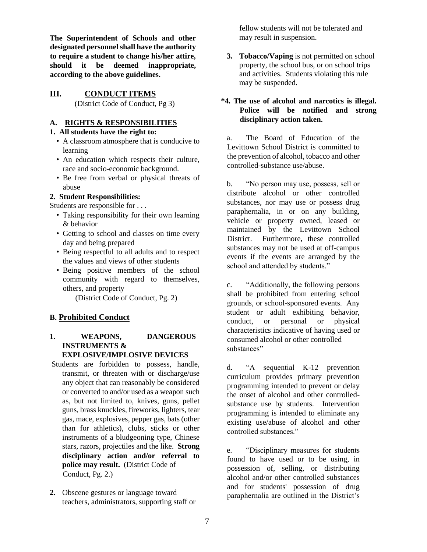**The Superintendent of Schools and other designated personnel shall have the authority to require a student to change his/her attire, should it be deemed inappropriate, according to the above guidelines.** 

### **III. CONDUCT ITEMS**

(District Code of Conduct, Pg 3)

# **A. RIGHTS & RESPONSIBILITIES**

### **1. All students have the right to:**

- A classroom atmosphere that is conducive to learning
- An education which respects their culture, race and socio-economic background.
- Be free from verbal or physical threats of abuse

### **2. Student Responsibilities:**

Students are responsible for . . .

- Taking responsibility for their own learning & behavior
- Getting to school and classes on time every day and being prepared
- Being respectful to all adults and to respect the values and views of other students
- Being positive members of the school community with regard to themselves, others, and property

(District Code of Conduct, Pg. 2)

### **B. Prohibited Conduct**

### **1. WEAPONS, DANGEROUS INSTRUMENTS & EXPLOSIVE/IMPLOSIVE DEVICES**

- Students are forbidden to possess, handle, transmit, or threaten with or discharge/use any object that can reasonably be considered or converted to and/or used as a weapon such as, but not limited to, knives, guns, pellet guns, brass knuckles, fireworks, lighters, tear gas, mace, explosives, pepper gas, bats (other than for athletics), clubs, sticks or other instruments of a bludgeoning type, Chinese stars, razors, projectiles and the like. **Strong disciplinary action and/or referral to police may result.** (District Code of Conduct, Pg. 2.)
- **2.** Obscene gestures or language toward teachers, administrators, supporting staff or

fellow students will not be tolerated and may result in suspension.

**3. Tobacco/Vaping** is not permitted on school property, the school bus, or on school trips and activities. Students violating this rule may be suspended.

### **\*4. The use of alcohol and narcotics is illegal. Police will be notified and strong disciplinary action taken.**

a. The Board of Education of the Levittown School District is committed to the prevention of alcohol, tobacco and other controlled-substance use/abuse.

b. "No person may use, possess, sell or distribute alcohol or other controlled substances, nor may use or possess drug paraphernalia, in or on any building, vehicle or property owned, leased or maintained by the Levittown School District. Furthermore, these controlled substances may not be used at off-campus events if the events are arranged by the school and attended by students."

c. "Additionally, the following persons shall be prohibited from entering school grounds, or school-sponsored events. Any student or adult exhibiting behavior, conduct, or personal or physical characteristics indicative of having used or consumed alcohol or other controlled substances"

d. "A sequential K-12 prevention curriculum provides primary prevention programming intended to prevent or delay the onset of alcohol and other controlledsubstance use by students. Intervention programming is intended to eliminate any existing use/abuse of alcohol and other controlled substances."

e. "Disciplinary measures for students found to have used or to be using, in possession of, selling, or distributing alcohol and/or other controlled substances and for students' possession of drug paraphernalia are outlined in the District's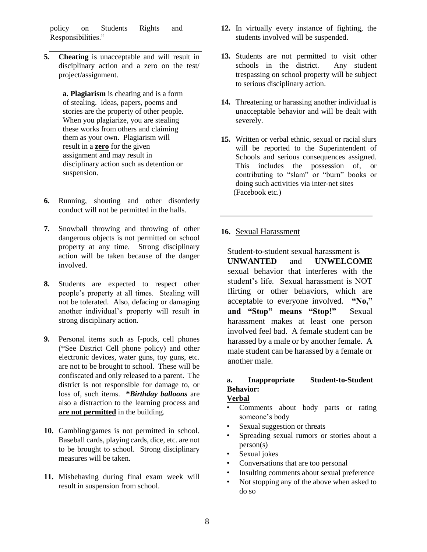policy on Students Rights and Responsibilities."

**5. Cheating** is unacceptable and will result in disciplinary action and a zero on the test/ project/assignment.

> **a. Plagiarism** is cheating and is a form of stealing. Ideas, papers, poems and stories are the property of other people. When you plagiarize, you are stealing these works from others and claiming them as your own. Plagiarism will result in a **zero** for the given assignment and may result in disciplinary action such as detention or suspension.

- **6.** Running, shouting and other disorderly conduct will not be permitted in the halls.
- **7.** Snowball throwing and throwing of other dangerous objects is not permitted on school property at any time. Strong disciplinary action will be taken because of the danger involved.
- **8.** Students are expected to respect other people's property at all times. Stealing will not be tolerated. Also, defacing or damaging another individual's property will result in strong disciplinary action.
- **9.** Personal items such as I-pods, cell phones (\*See District Cell phone policy) and other electronic devices, water guns, toy guns, etc. are not to be brought to school. These will be confiscated and only released to a parent. The district is not responsible for damage to, or loss of, such items. **\****Birthday balloons* are also a distraction to the learning process and **are not permitted** in the building.
- **10.** Gambling/games is not permitted in school. Baseball cards, playing cards, dice, etc. are not to be brought to school. Strong disciplinary measures will be taken.
- **11.** Misbehaving during final exam week will result in suspension from school.
- **12.** In virtually every instance of fighting, the students involved will be suspended.
- **13.** Students are not permitted to visit other schools in the district. Any student trespassing on school property will be subject to serious disciplinary action.
- **14.** Threatening or harassing another individual is unacceptable behavior and will be dealt with severely.
- **15.** Written or verbal ethnic, sexual or racial slurs will be reported to the Superintendent of Schools and serious consequences assigned. This includes the possession of, or contributing to "slam" or "burn" books or doing such activities via inter-net sites (Facebook etc.)

# **16.** Sexual Harassment

Student-to-student sexual harassment is **UNWANTED** and **UNWELCOME** sexual behavior that interferes with the student's life. Sexual harassment is NOT flirting or other behaviors, which are acceptable to everyone involved. **"No," and "Stop" means "Stop!"** Sexual harassment makes at least one person involved feel bad. A female student can be harassed by a male or by another female. A male student can be harassed by a female or another male.

# **a. Inappropriate Student-to-Student Behavior:**

# **Verbal**

- Comments about body parts or rating someone's body
- Sexual suggestion or threats
- Spreading sexual rumors or stories about a person(s)
- Sexual jokes
- Conversations that are too personal
- Insulting comments about sexual preference
- Not stopping any of the above when asked to do so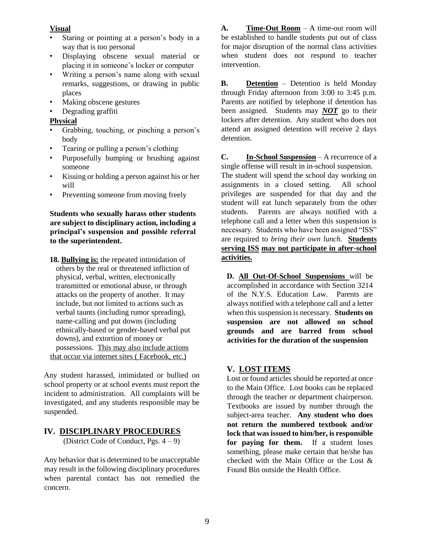### **Visual**

- Staring or pointing at a person's body in a way that is too personal
- Displaying obscene sexual material or placing it in someone's locker or computer
- Writing a person's name along with sexual remarks, suggestions, or drawing in public places
- Making obscene gestures
- Degrading graffiti

### **Physical**

- Grabbing, touching, or pinching a person's body
- Tearing or pulling a person's clothing
- Purposefully bumping or brushing against someone
- Kissing or holding a person against his or her will
- Preventing someone from moving freely

**Students who sexually harass other students are subject to disciplinary action, including a principal's suspension and possible referral to the superintendent.** 

**18. Bullying is:** the repeated intimidation of others by the real or threatened infliction of physical, verbal, written, electronically transmitted or emotional abuse, or through attacks on the property of another. It may include, but not limited to actions such as verbal taunts (including rumor spreading), name-calling and put downs (including ethnically-based or gender-based verbal put downs), and extortion of money or possessions. This may also include actions that occur via internet sites ( Facebook, etc.)

Any student harassed, intimidated or bullied on school property or at school events must report the incident to administration. All complaints will be investigated, and any students responsible may be suspended.

# **IV. DISCIPLINARY PROCEDURES**

(District Code of Conduct, Pgs. 4 – 9)

Any behavior that is determined to be unacceptable may result in the following disciplinary procedures when parental contact has not remedied the concern.

**A. Time-Out Room** – A time-out room will be established to handle students put out of class for major disruption of the normal class activities when student does not respond to teacher intervention.

**B. Detention** – Detention is held Monday through Friday afternoon from 3:00 to 3:45 p.m. Parents are notified by telephone if detention has been assigned. Students may *NOT* go to their lockers after detention. Any student who does not attend an assigned detention will receive 2 days detention.

**C. In-School Suspension** – A recurrence of a single offense will result in in-school suspension. The student will spend the school day working on assignments in a closed setting. All school privileges are suspended for that day and the student will eat lunch separately from the other students. Parents are always notified with a telephone call and a letter when this suspension is necessary. Students who have been assigned "ISS" are required to *bring their own lunch.* **Students serving ISS may not participate in after-school activities.**

**D. All Out-Of-School Suspensions** will be accomplished in accordance with Section 3214 of the N.Y.S. Education Law. Parents are always notified with a telephone call and a letter when this suspension is necessary. **Students on suspension are not allowed on school grounds and are barred from school activities for the duration of the suspension** 

# **V. LOST ITEMS**

Lost or found articles should be reported at once to the Main Office. Lost books can be replaced through the teacher or department chairperson. Textbooks are issued by number through the subject-area teacher. **Any student who does not return the numbered textbook and/or lock that was issued to him/her, is responsible for paying for them.** If a student loses something, please make certain that he/she has checked with the Main Office or the Lost & Found Bin outside the Health Office.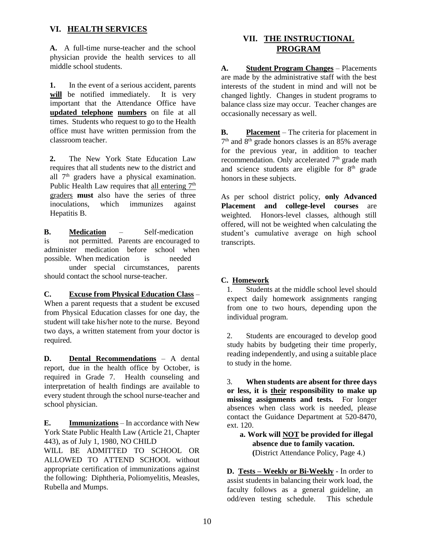# **VI. HEALTH SERVICES**

**A.** A full-time nurse-teacher and the school physician provide the health services to all middle school students.

**1.** In the event of a serious accident, parents will be notified immediately. It is very important that the Attendance Office have **updated telephone numbers** on file at all times. Students who request to go to the Health office must have written permission from the classroom teacher.

**2.** The New York State Education Law requires that all students new to the district and all 7<sup>th</sup> graders have a physical examination. Public Health Law requires that all entering  $7<sup>th</sup>$ graders **must** also have the series of three inoculations, which immunizes against Hepatitis B.

**B. Medication** – Self-medication is not permitted. Parents are encouraged to administer medication before school when possible. When medication is needed under special circumstances, parents should contact the school nurse-teacher.

# **C. Excuse from Physical Education Class** –

When a parent requests that a student be excused from Physical Education classes for one day, the student will take his/her note to the nurse. Beyond two days, a written statement from your doctor is required.

**D. Dental Recommendations** – A dental report, due in the health office by October, is required in Grade 7. Health counseling and interpretation of health findings are available to every student through the school nurse-teacher and school physician.

**E. Immunizations** – In accordance with New York State Public Health Law (Article 21, Chapter 443), as of July 1, 1980, NO CHILD

WILL BE ADMITTED TO SCHOOL OR ALLOWED TO ATTEND SCHOOL without appropriate certification of immunizations against the following: Diphtheria, Poliomyelitis, Measles, Rubella and Mumps.

# **VII. THE INSTRUCTIONAL PROGRAM**

**A. Student Program Changes** – Placements are made by the administrative staff with the best interests of the student in mind and will not be changed lightly. Changes in student programs to balance class size may occur. Teacher changes are occasionally necessary as well.

**B. Placement** – The criteria for placement in 7 th and 8 th grade honors classes is an 85% average for the previous year, in addition to teacher recommendation. Only accelerated 7<sup>th</sup> grade math and science students are eligible for 8th grade honors in these subjects.

As per school district policy, **only Advanced Placement and college-level courses** are weighted. Honors-level classes, although still offered, will not be weighted when calculating the student's cumulative average on high school transcripts.

# **C. Homework**

1. Students at the middle school level should expect daily homework assignments ranging from one to two hours, depending upon the individual program.

2. Students are encouraged to develop good study habits by budgeting their time properly, reading independently, and using a suitable place to study in the home.

3. **When students are absent for three days or less, it is their responsibility to make up missing assignments and tests.** For longer absences when class work is needed, please contact the Guidance Department at 520-8470, ext. 120.

**a. Work will NOT be provided for illegal absence due to family vacation. (**District Attendance Policy, Page 4.)

**D. Tests – Weekly or Bi-Weekly** - In order to assist students in balancing their work load, the faculty follows as a general guideline, an odd/even testing schedule. This schedule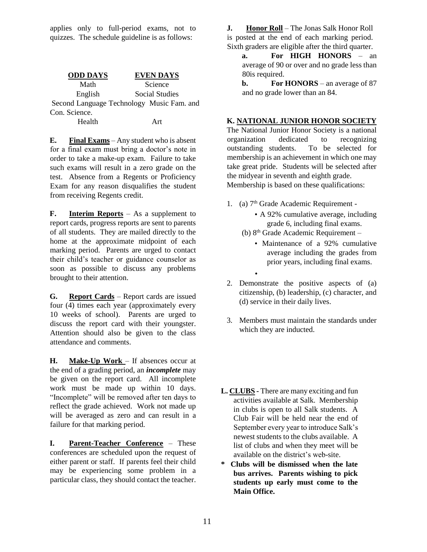applies only to full-period exams, not to quizzes. The schedule guideline is as follows:

| <b>ODD DAYS</b> | <b>EVEN DAYS</b>                          |
|-----------------|-------------------------------------------|
| Math            | Science                                   |
| English         | Social Studies                            |
|                 | Second Language Technology Music Fam. and |
| Con. Science.   |                                           |
| Health          | Art                                       |

**E. Final Exams** – Any student who is absent for a final exam must bring a doctor's note in order to take a make-up exam. Failure to take such exams will result in a zero grade on the test. Absence from a Regents or Proficiency Exam for any reason disqualifies the student from receiving Regents credit.

**F. Interim Reports** – As a supplement to report cards, progress reports are sent to parents of all students. They are mailed directly to the home at the approximate midpoint of each marking period. Parents are urged to contact their child's teacher or guidance counselor as soon as possible to discuss any problems brought to their attention.

**G. Report Cards** – Report cards are issued four (4) times each year (approximately every 10 weeks of school). Parents are urged to discuss the report card with their youngster. Attention should also be given to the class attendance and comments.

**H. Make-Up Work** – If absences occur at the end of a grading period, an *incomplete* may be given on the report card. All incomplete work must be made up within 10 days. "Incomplete" will be removed after ten days to reflect the grade achieved. Work not made up will be averaged as zero and can result in a failure for that marking period.

**I. Parent-Teacher Conference** – These conferences are scheduled upon the request of either parent or staff. If parents feel their child may be experiencing some problem in a particular class, they should contact the teacher. **J. Honor Roll** – The Jonas Salk Honor Roll is posted at the end of each marking period. Sixth graders are eligible after the third quarter.

**a. For HIGH HONORS** – an average of 90 or over and no grade less than 80is required.

**b. For HONORS** – an average of 87 and no grade lower than an 84.

# **K. NATIONAL JUNIOR HONOR SOCIETY**

The National Junior Honor Society is a national organization dedicated to recognizing outstanding students. To be selected for membership is an achievement in which one may take great pride. Students will be selected after the midyear in seventh and eighth grade. Membership is based on these qualifications:

1. (a)  $7<sup>th</sup>$  Grade Academic Requirement -

•

- A 92% cumulative average, including grade 6, including final exams.
- (b)  $8<sup>th</sup>$  Grade Academic Requirement
	- Maintenance of a 92% cumulative average including the grades from prior years, including final exams.
- 2. Demonstrate the positive aspects of (a) citizenship, (b) leadership, (c) character, and (d) service in their daily lives.
- 3. Members must maintain the standards under which they are inducted.
- **L. CLUBS -** There are many exciting and fun activities available at Salk. Membership in clubs is open to all Salk students. A Club Fair will be held near the end of September every year to introduce Salk's newest students to the clubs available. A list of clubs and when they meet will be available on the district's web-site.
- **\* Clubs will be dismissed when the late bus arrives. Parents wishing to pick students up early must come to the Main Office.**